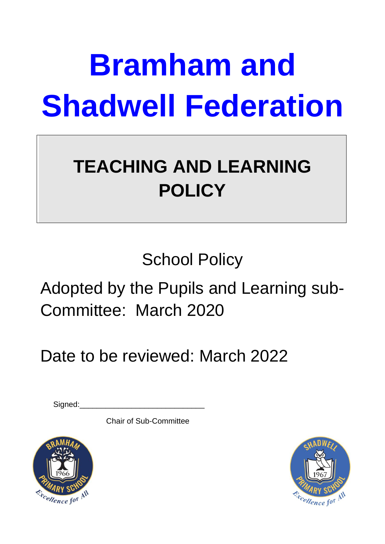# **Bramham and Shadwell Federation**

## **TEACHING AND LEARNING POLICY**

School Policy

Adopted by the Pupils and Learning sub-Committee: March 2020

### Date to be reviewed: March 2022

Signed:

Chair of Sub-Committee



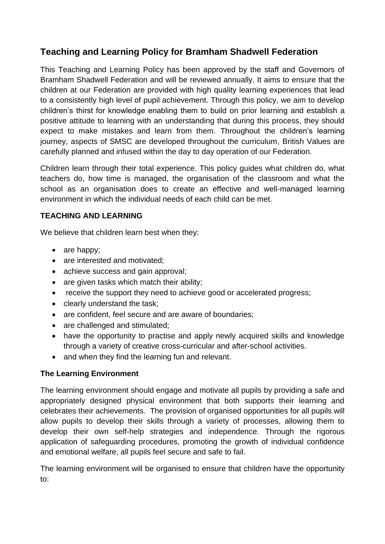#### **Teaching and Learning Policy for Bramham Shadwell Federation**

This Teaching and Learning Policy has been approved by the staff and Governors of Bramham Shadwell Federation and will be reviewed annually. It aims to ensure that the children at our Federation are provided with high quality learning experiences that lead to a consistently high level of pupil achievement. Through this policy, we aim to develop children's thirst for knowledge enabling them to build on prior learning and establish a positive attitude to learning with an understanding that during this process, they should expect to make mistakes and learn from them. Throughout the children's learning journey, aspects of SMSC are developed throughout the curriculum, British Values are carefully planned and infused within the day to day operation of our Federation.

Children learn through their total experience. This policy guides what children do, what teachers do, how time is managed, the organisation of the classroom and what the school as an organisation does to create an effective and well-managed learning environment in which the individual needs of each child can be met.

#### **TEACHING AND LEARNING**

We believe that children learn best when they:

- are happy;
- are interested and motivated:
- achieve success and gain approval;
- are given tasks which match their ability;
- receive the support they need to achieve good or accelerated progress;
- clearly understand the task:
- are confident, feel secure and are aware of boundaries;
- are challenged and stimulated;
- have the opportunity to practise and apply newly acquired skills and knowledge through a variety of creative cross-curricular and after-school activities.
- and when they find the learning fun and relevant.

#### **The Learning Environment**

The learning environment should engage and motivate all pupils by providing a safe and appropriately designed physical environment that both supports their learning and celebrates their achievements. The provision of organised opportunities for all pupils will allow pupils to develop their skills through a variety of processes, allowing them to develop their own self-help strategies and independence. Through the rigorous application of safeguarding procedures, promoting the growth of individual confidence and emotional welfare, all pupils feel secure and safe to fail.

The learning environment will be organised to ensure that children have the opportunity to: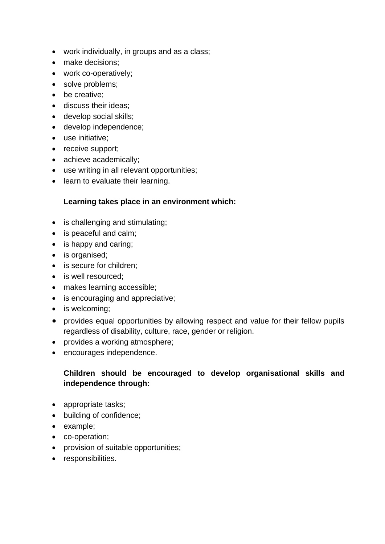- work individually, in groups and as a class;
- make decisions:
- work co-operatively;
- solve problems;
- be creative;
- discuss their ideas;
- develop social skills;
- develop independence;
- use initiative;
- receive support;
- achieve academically;
- use writing in all relevant opportunities;
- learn to evaluate their learning.

#### **Learning takes place in an environment which:**

- is challenging and stimulating;
- is peaceful and calm;
- is happy and caring;
- is organised;
- is secure for children;
- is well resourced:
- makes learning accessible;
- is encouraging and appreciative;
- is welcoming;
- provides equal opportunities by allowing respect and value for their fellow pupils regardless of disability, culture, race, gender or religion.
- provides a working atmosphere;
- encourages independence.

#### **Children should be encouraged to develop organisational skills and independence through:**

- appropriate tasks;
- building of confidence;
- example;
- co-operation;
- provision of suitable opportunities;
- responsibilities.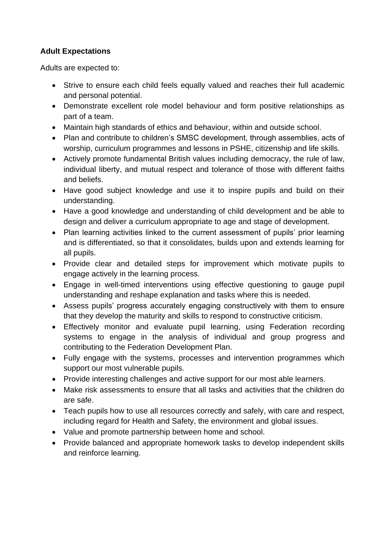#### **Adult Expectations**

Adults are expected to:

- Strive to ensure each child feels equally valued and reaches their full academic and personal potential.
- Demonstrate excellent role model behaviour and form positive relationships as part of a team.
- Maintain high standards of ethics and behaviour, within and outside school.
- Plan and contribute to children's SMSC development, through assemblies, acts of worship, curriculum programmes and lessons in PSHE, citizenship and life skills.
- Actively promote fundamental British values including democracy, the rule of law, individual liberty, and mutual respect and tolerance of those with different faiths and beliefs.
- Have good subject knowledge and use it to inspire pupils and build on their understanding.
- Have a good knowledge and understanding of child development and be able to design and deliver a curriculum appropriate to age and stage of development.
- Plan learning activities linked to the current assessment of pupils' prior learning and is differentiated, so that it consolidates, builds upon and extends learning for all pupils.
- Provide clear and detailed steps for improvement which motivate pupils to engage actively in the learning process.
- Engage in well-timed interventions using effective questioning to gauge pupil understanding and reshape explanation and tasks where this is needed.
- Assess pupils' progress accurately engaging constructively with them to ensure that they develop the maturity and skills to respond to constructive criticism.
- Effectively monitor and evaluate pupil learning, using Federation recording systems to engage in the analysis of individual and group progress and contributing to the Federation Development Plan.
- Fully engage with the systems, processes and intervention programmes which support our most vulnerable pupils.
- Provide interesting challenges and active support for our most able learners.
- Make risk assessments to ensure that all tasks and activities that the children do are safe.
- Teach pupils how to use all resources correctly and safely, with care and respect, including regard for Health and Safety, the environment and global issues.
- Value and promote partnership between home and school.
- Provide balanced and appropriate homework tasks to develop independent skills and reinforce learning.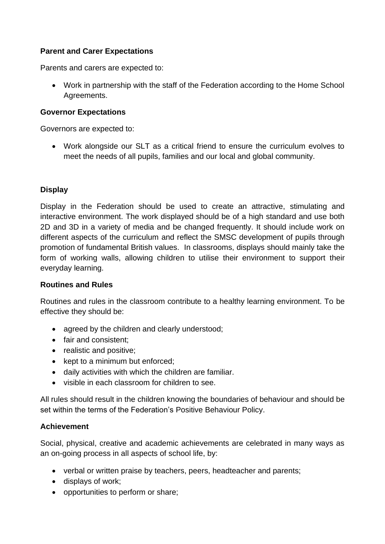#### **Parent and Carer Expectations**

Parents and carers are expected to:

• Work in partnership with the staff of the Federation according to the Home School Agreements.

#### **Governor Expectations**

Governors are expected to:

• Work alongside our SLT as a critical friend to ensure the curriculum evolves to meet the needs of all pupils, families and our local and global community.

#### **Display**

Display in the Federation should be used to create an attractive, stimulating and interactive environment. The work displayed should be of a high standard and use both 2D and 3D in a variety of media and be changed frequently. It should include work on different aspects of the curriculum and reflect the SMSC development of pupils through promotion of fundamental British values. In classrooms, displays should mainly take the form of working walls, allowing children to utilise their environment to support their everyday learning.

#### **Routines and Rules**

Routines and rules in the classroom contribute to a healthy learning environment. To be effective they should be:

- agreed by the children and clearly understood;
- fair and consistent;
- realistic and positive;
- kept to a minimum but enforced;
- daily activities with which the children are familiar.
- visible in each classroom for children to see.

All rules should result in the children knowing the boundaries of behaviour and should be set within the terms of the Federation's Positive Behaviour Policy.

#### **Achievement**

Social, physical, creative and academic achievements are celebrated in many ways as an on-going process in all aspects of school life, by:

- verbal or written praise by teachers, peers, headteacher and parents;
- displays of work;
- opportunities to perform or share;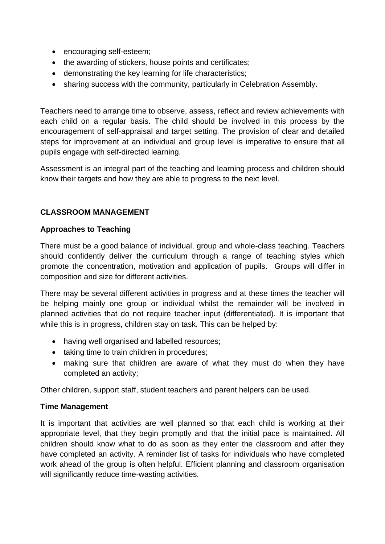- encouraging self-esteem;
- the awarding of stickers, house points and certificates:
- demonstrating the key learning for life characteristics;
- sharing success with the community, particularly in Celebration Assembly.

Teachers need to arrange time to observe, assess, reflect and review achievements with each child on a regular basis. The child should be involved in this process by the encouragement of self-appraisal and target setting. The provision of clear and detailed steps for improvement at an individual and group level is imperative to ensure that all pupils engage with self-directed learning.

Assessment is an integral part of the teaching and learning process and children should know their targets and how they are able to progress to the next level.

#### **CLASSROOM MANAGEMENT**

#### **Approaches to Teaching**

There must be a good balance of individual, group and whole-class teaching. Teachers should confidently deliver the curriculum through a range of teaching styles which promote the concentration, motivation and application of pupils. Groups will differ in composition and size for different activities.

There may be several different activities in progress and at these times the teacher will be helping mainly one group or individual whilst the remainder will be involved in planned activities that do not require teacher input (differentiated). It is important that while this is in progress, children stay on task. This can be helped by:

- having well organised and labelled resources;
- taking time to train children in procedures:
- making sure that children are aware of what they must do when they have completed an activity;

Other children, support staff, student teachers and parent helpers can be used.

#### **Time Management**

It is important that activities are well planned so that each child is working at their appropriate level, that they begin promptly and that the initial pace is maintained. All children should know what to do as soon as they enter the classroom and after they have completed an activity. A reminder list of tasks for individuals who have completed work ahead of the group is often helpful. Efficient planning and classroom organisation will significantly reduce time-wasting activities.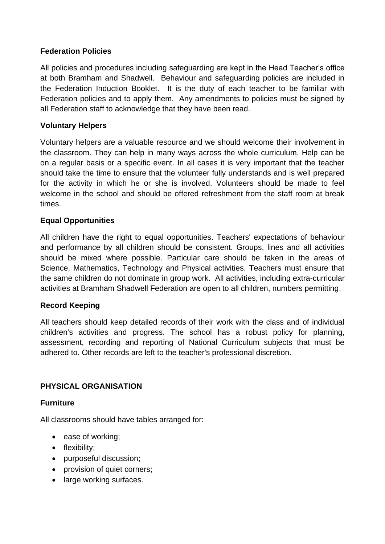#### **Federation Policies**

All policies and procedures including safeguarding are kept in the Head Teacher's office at both Bramham and Shadwell. Behaviour and safeguarding policies are included in the Federation Induction Booklet. It is the duty of each teacher to be familiar with Federation policies and to apply them. Any amendments to policies must be signed by all Federation staff to acknowledge that they have been read.

#### **Voluntary Helpers**

Voluntary helpers are a valuable resource and we should welcome their involvement in the classroom. They can help in many ways across the whole curriculum. Help can be on a regular basis or a specific event. In all cases it is very important that the teacher should take the time to ensure that the volunteer fully understands and is well prepared for the activity in which he or she is involved. Volunteers should be made to feel welcome in the school and should be offered refreshment from the staff room at break times.

#### **Equal Opportunities**

All children have the right to equal opportunities. Teachers' expectations of behaviour and performance by all children should be consistent. Groups, lines and all activities should be mixed where possible. Particular care should be taken in the areas of Science, Mathematics, Technology and Physical activities. Teachers must ensure that the same children do not dominate in group work. All activities, including extra-curricular activities at Bramham Shadwell Federation are open to all children, numbers permitting.

#### **Record Keeping**

All teachers should keep detailed records of their work with the class and of individual children's activities and progress. The school has a robust policy for planning, assessment, recording and reporting of National Curriculum subjects that must be adhered to. Other records are left to the teacher's professional discretion.

#### **PHYSICAL ORGANISATION**

#### **Furniture**

All classrooms should have tables arranged for:

- ease of working;
- flexibility;
- purposeful discussion;
- provision of quiet corners;
- large working surfaces.